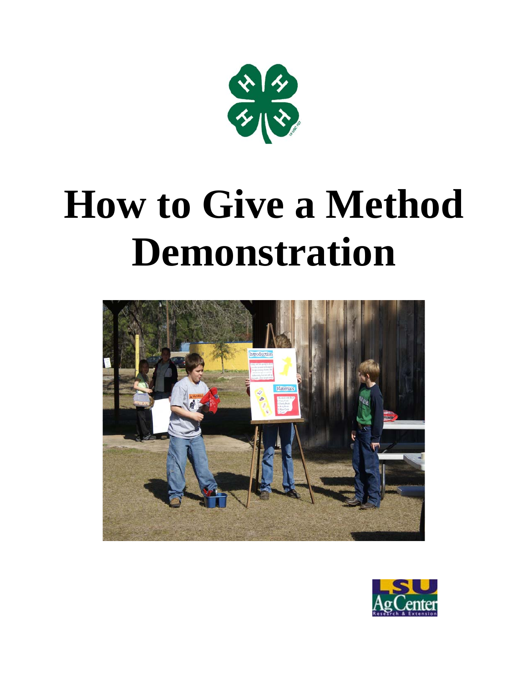

# **How to Give a Method Demonstration**



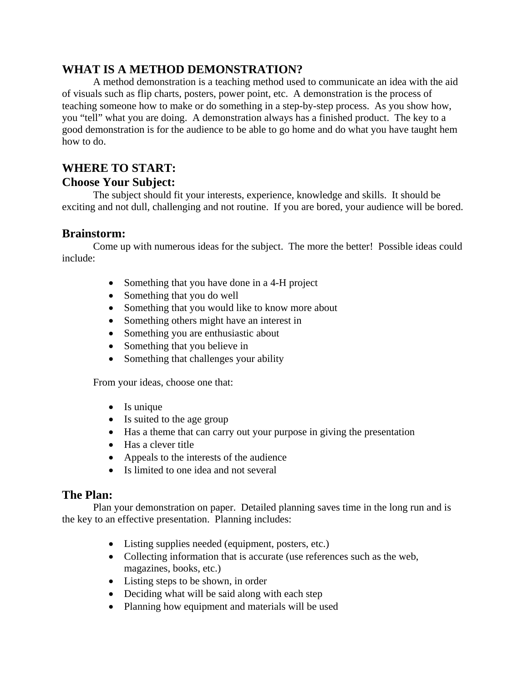# **WHAT IS A METHOD DEMONSTRATION?**

A method demonstration is a teaching method used to communicate an idea with the aid of visuals such as flip charts, posters, power point, etc. A demonstration is the process of teaching someone how to make or do something in a step-by-step process. As you show how, you "tell" what you are doing. A demonstration always has a finished product. The key to a good demonstration is for the audience to be able to go home and do what you have taught hem how to do.

# **WHERE TO START:**

# **Choose Your Subject:**

The subject should fit your interests, experience, knowledge and skills. It should be exciting and not dull, challenging and not routine. If you are bored, your audience will be bored.

#### **Brainstorm:**

Come up with numerous ideas for the subject. The more the better! Possible ideas could include:

- Something that you have done in a 4-H project
- Something that you do well
- Something that you would like to know more about
- Something others might have an interest in
- Something you are enthusiastic about
- Something that you believe in
- Something that challenges your ability

From your ideas, choose one that:

- $\bullet$  Is unique
- Is suited to the age group
- Has a theme that can carry out your purpose in giving the presentation
- Has a clever title
- Appeals to the interests of the audience
- Is limited to one idea and not several

# **The Plan:**

Plan your demonstration on paper. Detailed planning saves time in the long run and is the key to an effective presentation. Planning includes:

- Listing supplies needed (equipment, posters, etc.)
- Collecting information that is accurate (use references such as the web, magazines, books, etc.)
- Listing steps to be shown, in order
- Deciding what will be said along with each step
- Planning how equipment and materials will be used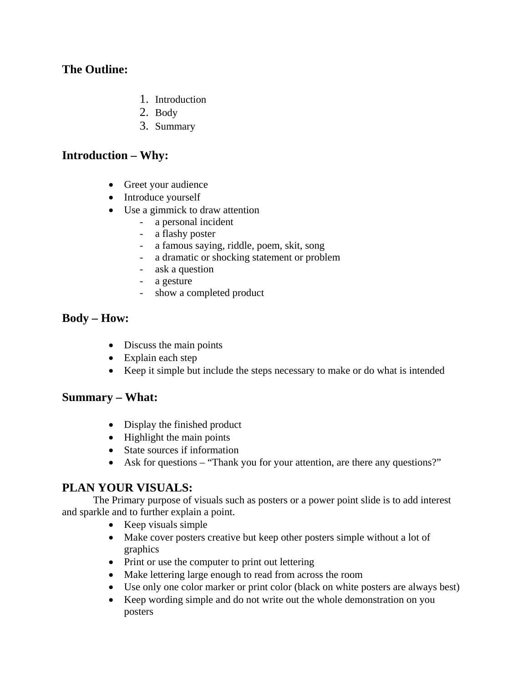#### **The Outline:**

- 1. Introduction
- 2. Body
- 3. Summary

#### **Introduction – Why:**

- Greet your audience
- Introduce yourself
- Use a gimmick to draw attention
	- a personal incident
	- a flashy poster
	- a famous saying, riddle, poem, skit, song
	- a dramatic or shocking statement or problem
	- ask a question
	- a gesture
	- show a completed product

#### **Body – How:**

- Discuss the main points
- Explain each step
- Keep it simple but include the steps necessary to make or do what is intended

#### **Summary – What:**

- Display the finished product
- Highlight the main points
- State sources if information
- Ask for questions "Thank you for your attention, are there any questions?"

# **PLAN YOUR VISUALS:**

 The Primary purpose of visuals such as posters or a power point slide is to add interest and sparkle and to further explain a point.

- Keep visuals simple
- Make cover posters creative but keep other posters simple without a lot of graphics
- Print or use the computer to print out lettering
- Make lettering large enough to read from across the room
- Use only one color marker or print color (black on white posters are always best)
- Keep wording simple and do not write out the whole demonstration on you posters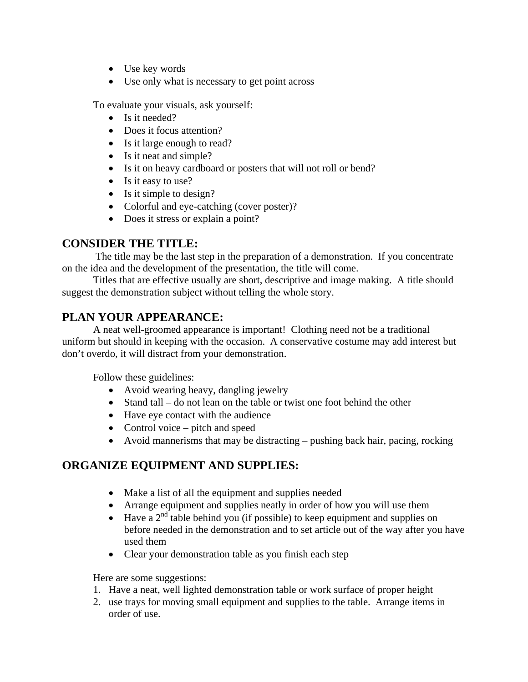- Use key words
- Use only what is necessary to get point across

To evaluate your visuals, ask yourself:

- Is it needed?
- Does it focus attention?
- Is it large enough to read?
- Is it neat and simple?
- Is it on heavy cardboard or posters that will not roll or bend?
- Is it easy to use?
- Is it simple to design?
- Colorful and eye-catching (cover poster)?
- Does it stress or explain a point?

# **CONSIDER THE TITLE:**

 The title may be the last step in the preparation of a demonstration. If you concentrate on the idea and the development of the presentation, the title will come.

 Titles that are effective usually are short, descriptive and image making. A title should suggest the demonstration subject without telling the whole story.

# **PLAN YOUR APPEARANCE:**

 A neat well-groomed appearance is important! Clothing need not be a traditional uniform but should in keeping with the occasion. A conservative costume may add interest but don't overdo, it will distract from your demonstration.

Follow these guidelines:

- Avoid wearing heavy, dangling jewelry
- Stand tall do not lean on the table or twist one foot behind the other
- Have eye contact with the audience
- Control voice pitch and speed
- Avoid mannerisms that may be distracting pushing back hair, pacing, rocking

# **ORGANIZE EQUIPMENT AND SUPPLIES:**

- Make a list of all the equipment and supplies needed
- Arrange equipment and supplies neatly in order of how you will use them
- $\bullet$  Have a 2<sup>nd</sup> table behind you (if possible) to keep equipment and supplies on before needed in the demonstration and to set article out of the way after you have used them
- Clear your demonstration table as you finish each step

Here are some suggestions:

- 1. Have a neat, well lighted demonstration table or work surface of proper height
- 2. use trays for moving small equipment and supplies to the table. Arrange items in order of use.